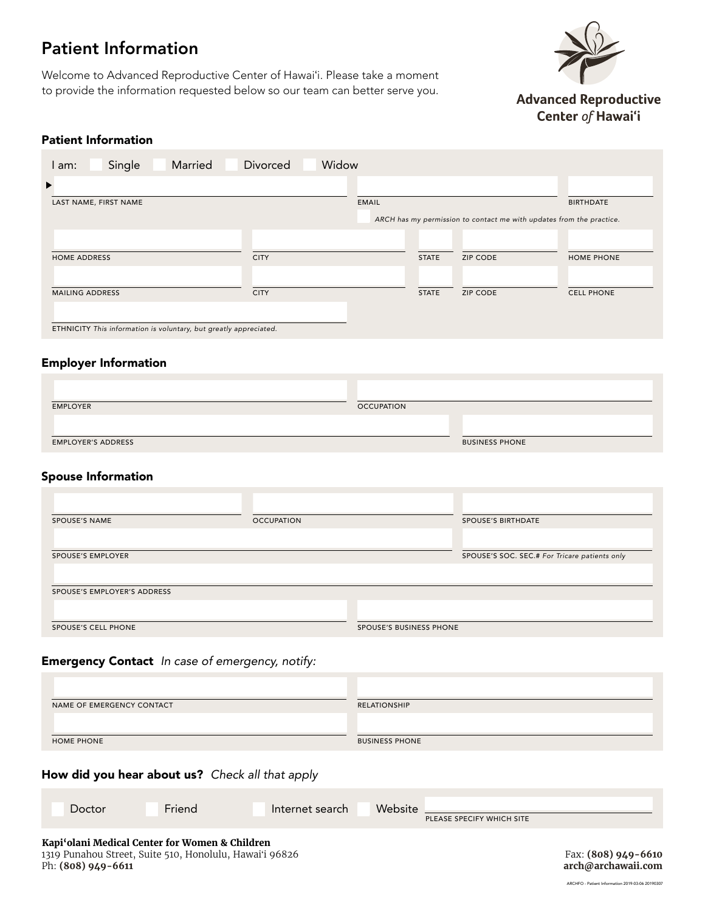# Patient Information

Welcome to Advanced Reproductive Center of Hawaiʻi. Please take a moment to provide the information requested below so our team can better serve you.



**Advanced Reproductive** Center of Hawai'i

# Patient Information

| Married<br>Single<br>am:                                             | Widow<br>Divorced |              |                 |                   |
|----------------------------------------------------------------------|-------------------|--------------|-----------------|-------------------|
| ▶                                                                    |                   |              |                 |                   |
| LAST NAME, FIRST NAME                                                | <b>EMAIL</b>      |              |                 | <b>BIRTHDATE</b>  |
| ARCH has my permission to contact me with updates from the practice. |                   |              |                 |                   |
|                                                                      |                   |              |                 |                   |
| <b>HOME ADDRESS</b>                                                  | <b>CITY</b>       | <b>STATE</b> | <b>ZIP CODE</b> | HOME PHONE        |
|                                                                      |                   |              |                 |                   |
| <b>MAILING ADDRESS</b>                                               | <b>CITY</b>       | <b>STATE</b> | <b>ZIP CODE</b> | <b>CELL PHONE</b> |
| ETHNICITY This information is voluntary, but greatly appreciated.    |                   |              |                 |                   |

### Employer Information

| <b>BUSINESS PHONE</b> |
|-----------------------|
| <b>OCCUPATION</b>     |

### Spouse Information

| <b>SPOUSE'S NAME</b>        | <b>OCCUPATION</b> |                         | <b>SPOUSE'S BIRTHDATE</b>                     |
|-----------------------------|-------------------|-------------------------|-----------------------------------------------|
| <b>SPOUSE'S EMPLOYER</b>    |                   |                         | SPOUSE'S SOC. SEC.# For Tricare patients only |
| SPOUSE'S EMPLOYER'S ADDRESS |                   |                         |                                               |
| SPOUSE'S CELL PHONE         |                   | SPOUSE'S BUSINESS PHONE |                                               |

# Emergency Contact *In case of emergency, notify:*

| NAME OF EMERGENCY CONTACT | RELATIONSHIP          |
|---------------------------|-----------------------|
|                           |                       |
|                           |                       |
| <b>HOME PHONE</b>         | <b>BUSINESS PHONE</b> |

# How did you hear about us? *Check all that apply*

| Doctor                                                                                                                            | Friend | Internet search | Website<br>PLEASE SPECIFY WHICH SITE |                                           |
|-----------------------------------------------------------------------------------------------------------------------------------|--------|-----------------|--------------------------------------|-------------------------------------------|
| Kapi'olani Medical Center for Women & Children<br>1319 Punahou Street, Suite 510, Honolulu, Hawai'i 96826<br>Ph: $(808)$ 949-6611 |        |                 |                                      | Fax: (808) 949-6610<br>arch@archawaii.com |